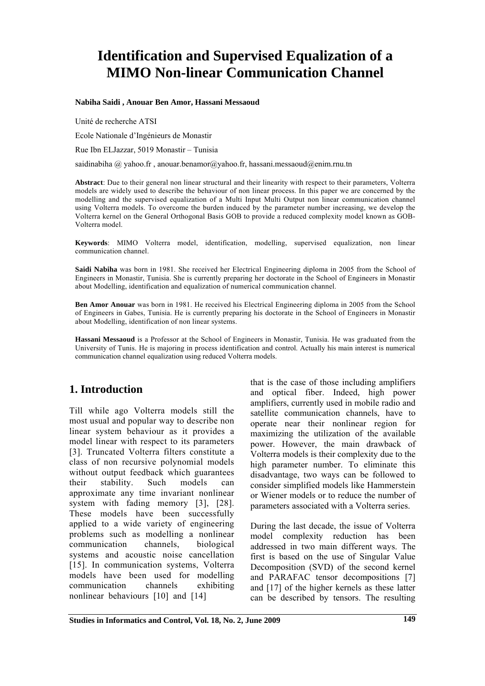# **Identification and Supervised Equalization of a MIMO Non-linear Communication Channel**

**Nabiha Saidi , Anouar Ben Amor, Hassani Messaoud** 

Unité de recherche ATSI

Ecole Nationale d'Ingénieurs de Monastir

Rue Ibn ELJazzar, 5019 Monastir – Tunisia

saidinabiha  $\omega$  yahoo.fr, anouar.benamor $\omega$ yahoo.fr, hassani.messaoud $\omega$ enim.rnu.tn

**Abstract**: Due to their general non linear structural and their linearity with respect to their parameters, Volterra models are widely used to describe the behaviour of non linear process. In this paper we are concerned by the modelling and the supervised equalization of a Multi Input Multi Output non linear communication channel using Volterra models. To overcome the burden induced by the parameter number increasing, we develop the Volterra kernel on the General Orthogonal Basis GOB to provide a reduced complexity model known as GOB-Volterra model.

**Keywords**: MIMO Volterra model, identification, modelling, supervised equalization, non linear communication channel.

**Saidi Nabiha** was born in 1981. She received her Electrical Engineering diploma in 2005 from the School of Engineers in Monastir, Tunisia. She is currently preparing her doctorate in the School of Engineers in Monastir about Modelling, identification and equalization of numerical communication channel.

**Ben Amor Anouar** was born in 1981. He received his Electrical Engineering diploma in 2005 from the School of Engineers in Gabes, Tunisia. He is currently preparing his doctorate in the School of Engineers in Monastir about Modelling, identification of non linear systems.

**Hassani Messaoud** is a Professor at the School of Engineers in Monastir, Tunisia. He was graduated from the University of Tunis. He is majoring in process identification and control. Actually his main interest is numerical communication channel equalization using reduced Volterra models.

# **1. Introduction**

Till while ago Volterra models still the most usual and popular way to describe non linear system behaviour as it provides a model linear with respect to its parameters [3]. Truncated Volterra filters constitute a class of non recursive polynomial models without output feedback which guarantees their stability. Such models can approximate any time invariant nonlinear system with fading memory [3], [28]. These models have been successfully applied to a wide variety of engineering problems such as modelling a nonlinear communication channels, biological systems and acoustic noise cancellation [15]. In communication systems, Volterra models have been used for modelling communication channels exhibiting nonlinear behaviours [10] and [14]

that is the case of those including amplifiers and optical fiber. Indeed, high power amplifiers, currently used in mobile radio and satellite communication channels, have to operate near their nonlinear region for maximizing the utilization of the available power. However, the main drawback of Volterra models is their complexity due to the high parameter number. To eliminate this disadvantage, two ways can be followed to consider simplified models like Hammerstein or Wiener models or to reduce the number of parameters associated with a Volterra series.

During the last decade, the issue of Volterra model complexity reduction has been addressed in two main different ways. The first is based on the use of Singular Value Decomposition (SVD) of the second kernel and PARAFAC tensor decompositions [7] and [17] of the higher kernels as these latter can be described by tensors. The resulting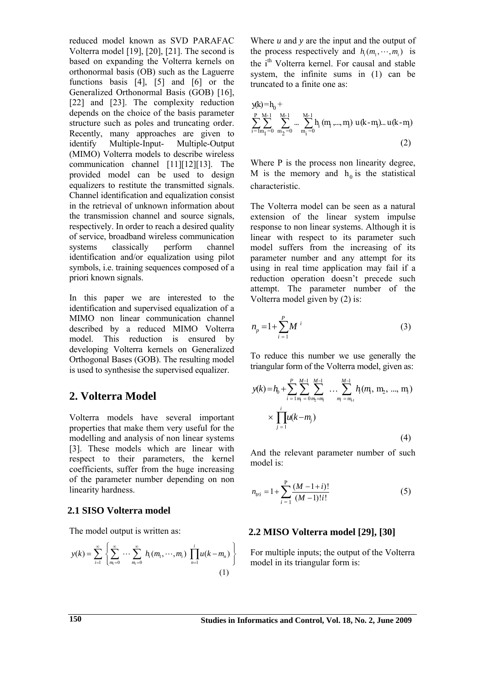reduced model known as SVD PARAFAC Volterra model [19], [20], [21]. The second is based on expanding the Volterra kernels on orthonormal basis (OB) such as the Laguerre functions basis [4], [5] and [6] or the Generalized Orthonormal Basis (GOB) [16], [22] and [23]. The complexity reduction depends on the choice of the basis parameter structure such as poles and truncating order. Recently, many approaches are given to identify Multiple-Input- Multiple-Output (MIMO) Volterra models to describe wireless communication channel [11][12][13]. The provided model can be used to design equalizers to restitute the transmitted signals. Channel identification and equalization consist in the retrieval of unknown information about the transmission channel and source signals, respectively. In order to reach a desired quality of service, broadband wireless communication systems classically perform channel identification and/or equalization using pilot symbols, i.e. training sequences composed of a priori known signals.

In this paper we are interested to the identification and supervised equalization of a MIMO non linear communication channel described by a reduced MIMO Volterra model. This reduction is ensured by developing Volterra kernels on Generalized Orthogonal Bases (GOB). The resulting model is used to synthesise the supervised equalizer.

# **2. Volterra Model**

Volterra models have several important properties that make them very useful for the modelling and analysis of non linear systems [3]. These models which are linear with respect to their parameters, the kernel coefficients, suffer from the huge increasing of the parameter number depending on non linearity hardness.

## **2.1 SISO Volterra model**

The model output is written as:

$$
y(k) = \sum_{i=1}^{\infty} \left\{ \sum_{m_i=0}^{\infty} \cdots \sum_{m_i=0}^{\infty} h_i(m_1, \cdots, m_i) \prod_{n=1}^{i} u(k - m_n) \right\}
$$
(1)

Where *u* and *y* are the input and the output of the process respectively and  $h_i(m_1, \dots, m_i)$  is the i<sup>th</sup> Volterra kernel. For causal and stable system, the infinite sums in (1) can be truncated to a finite one as:

$$
y(k) = h_0 +
$$
  
\n
$$
\sum_{i=1}^{P} \sum_{m_1=0}^{M-1} \sum_{m_2=0}^{M-1} \dots \sum_{m_i=0}^{M-1} h_i (m_1, ..., m_l) u(k-m) ... u(k-m)
$$
  
\n(2)

Where P is the process non linearity degree, M is the memory and  $h_0$  is the statistical characteristic.

The Volterra model can be seen as a natural extension of the linear system impulse response to non linear systems. Although it is linear with respect to its parameter such model suffers from the increasing of its parameter number and any attempt for its using in real time application may fail if a reduction operation doesn't precede such attempt. The parameter number of the Volterra model given by (2) is:

$$
n_p = 1 + \sum_{i=1}^{P} M^i
$$
 (3)

To reduce this number we use generally the triangular form of the Volterra model, given as:

$$
y(k) = h_0 + \sum_{i=1}^{P} \sum_{m_1=0}^{M-1} \sum_{m_2=m_1}^{M-1} \dots \sum_{m_i=m_{i1}}^{M-1} h_i(m_1, m_2, ..., m_i)
$$
  
 
$$
\times \prod_{j=1}^{i} u(k-m_j)
$$
 (4)

And the relevant parameter number of such model is:

$$
n_{tri} = 1 + \sum_{i=1}^{P} \frac{(M-1+i)!}{(M-1)!i!}
$$
 (5)

## **2.2 MISO Volterra model [29], [30]**

For multiple inputs; the output of the Volterra model in its triangular form is: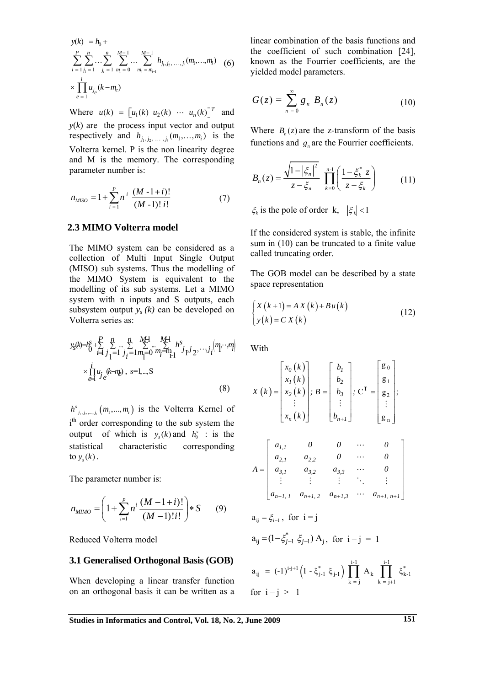$$
y(k) = h_0 +
$$
  
\n
$$
\sum_{i=1}^{P} \sum_{j_1=1}^{n} \dots \sum_{j_i=1}^{n} \sum_{m_i=0}^{M-1} \dots \sum_{m_i=m_{i-1}}^{M-1} h_{j_1, j_2, \dots, j_i}(m_1, \dots, m_i) \quad (6)
$$
  
\n
$$
\times \prod_{e=1}^{i} u_{j_e}(k - m_e)
$$

Where  $u(k) = [u_1(k) \ u_2(k) \ \cdots \ u_n(k)]^T$  and  $y(k)$  are the process input vector and output respectively and  $h_{j_1, j_2, \dots, j_i}(m_1, \dots, m_i)$  is the Volterra kernel. P is the non linearity degree and M is the memory. The corresponding parameter number is:

$$
n_{MISO} = 1 + \sum_{i=1}^{P} n^i \frac{(M-1+i)!}{(M-1)! i!}
$$
 (7)

## **2.3 MIMO Volterra model**

The MIMO system can be considered as a collection of Multi Input Single Output (MISO) sub systems. Thus the modelling of the MIMO System is equivalent to the modelling of its sub systems. Let a MIMO system with n inputs and S outputs, each subsystem output  $y_s(k)$  can be developed on Volterra series as:

$$
y_{s}(k) = h_{0}^{S} + \sum_{i=1}^{P} \sum_{j=1}^{n} \sum_{j=1}^{n} \sum_{m_{1}=0}^{M+1} \sum_{m_{1}=m_{1}}^{M+1} h_{j}^{S} y_{1}^{j} y_{2}^{j} \cdots y_{i}^{j} \Big| m_{1}^{N} \cdots m_{i}^{j} \Big|
$$
  
\n
$$
\times \prod_{e=1}^{i} u_{j}^{(k-m)} , \text{ s=1,...,S}
$$
 (8)

 $h^{s}$ <sub>*j*1</sub>, *i*<sub>2</sub>, ..., *j<sub>i</sub>*</sub>  $(m_1, ..., m_i)$  is the Volterra Kernel of i<sup>th</sup> order corresponding to the sub system the output of which is  $y_s(k)$  and  $h_0^s$  : is the statistical characteristic corresponding to  $y_s(k)$ .

The parameter number is:

$$
n_{MIMO} = \left(1 + \sum_{i=1}^{p} n^i \frac{(M-1+i)!}{(M-1)!i!}\right) * S \qquad (9)
$$

Reduced Volterra model

#### **3.1 Generalised Orthogonal Basis (GOB)**

When developing a linear transfer function on an orthogonal basis it can be written as a

linear combination of the basis functions and the coefficient of such combination [24], known as the Fourrier coefficients, are the yielded model parameters.

$$
G(z) = \sum_{n=0}^{\infty} g_n B_n(z) \tag{10}
$$

Where  $B_n(z)$  are the z-transform of the basis functions and  $g_n$  are the Fourrier coefficients.

$$
B_n(z) = \frac{\sqrt{1 - |\xi_n|^2}}{z - \xi_n} \prod_{k=0}^{n-1} \left( \frac{1 - \xi_k^* z}{z - \xi_k} \right) \tag{11}
$$

 $\xi_k$  is the pole of order k,  $|\xi_k|$  < 1

If the considered system is stable, the infinite sum in (10) can be truncated to a finite value called truncating order.

The GOB model can be described by a state space representation

$$
\begin{cases} X(k+1) = AX(k) + Bu(k) \\ y(k) = CX(k) \end{cases}
$$
\n(12)

**With** 

for  $i - j > 1$ 

$$
X(k) = \begin{bmatrix} x_0(k) \\ x_1(k) \\ x_2(k) \\ \vdots \\ x_n(k) \end{bmatrix}; B = \begin{bmatrix} b_1 \\ b_2 \\ b_3 \\ \vdots \\ b_{n+1} \end{bmatrix}; C^{T} = \begin{bmatrix} g_0 \\ g_1 \\ g_2 \\ \vdots \\ g_n \end{bmatrix};
$$
  
\n
$$
A = \begin{bmatrix} a_{1,1} & 0 & 0 & \cdots & 0 \\ a_{2,1} & a_{2,2} & 0 & \cdots & 0 \\ a_{3,1} & a_{3,2} & a_{3,3} & \cdots & 0 \\ \vdots & \vdots & \vdots & \ddots & \vdots \\ a_{n+1,1} & a_{n+1,2} & a_{n+1,3} & \cdots & a_{n+1,n+1} \end{bmatrix}
$$
  
\n
$$
a_{ij} = \xi_{i-1}, \text{ for } i = j
$$
  
\n
$$
a_{ij} = (1 - \xi_{j-1}^{*} \xi_{j-1}) A_j, \text{ for } i - j = 1
$$
  
\n
$$
a_{ij} = (-1)^{i-j+1} (1 - \xi_{j-1}^{*} \xi_{j-1}) \prod_{k=j}^{i-1} A_k \prod_{k=j+1}^{i-1} \xi_{k-1}^{*}
$$

**Studies in Informatics and Control, Vol. 18, No. 2, June 2009 151**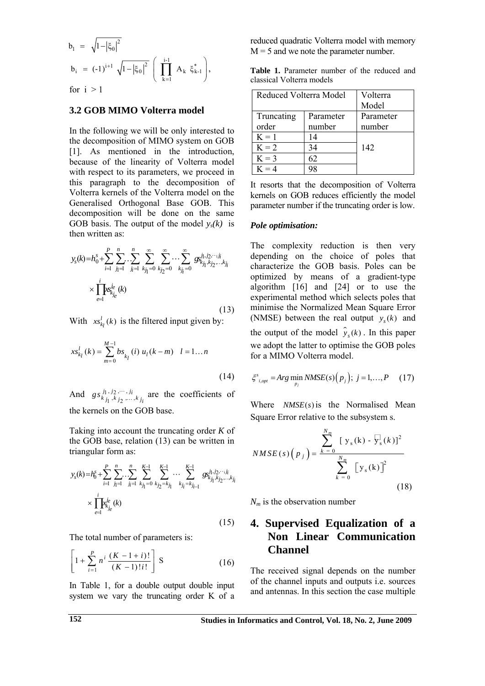$$
b_1 = \sqrt{1 - |\xi_0|^2}
$$
  
\n
$$
b_i = (-1)^{i+1} \sqrt{1 - |\xi_0|^2} \left( \prod_{k=1}^{i-1} A_k \xi_{k-1}^* \right),
$$

for  $i > 1$ 

#### **3.2 GOB MIMO Volterra model**

In the following we will be only interested to the decomposition of MIMO system on GOB [1]. As mentioned in the introduction, because of the linearity of Volterra model with respect to its parameters, we proceed in this paragraph to the decomposition of Volterra kernels of the Volterra model on the Generalised Orthogonal Base GOB. This decomposition will be done on the same GOB basis. The output of the model  $y_s(k)$  is then written as:

$$
y_s(k) = h_0^s + \sum_{i=1}^P \sum_{j_1=1}^n \sum_{j_1=1}^n \sum_{k_{j_1}=0}^\infty \sum_{k_{j_2}=0}^\infty \cdots \sum_{k_{j_i}=0}^\infty g_{k_{j_1},k_{j_2},\ldots,k_{j_i}}^{j_1, j_2, \ldots, j_i}
$$

$$
\times \prod_{e=1}^i \text{log}_{k_{j_e}}^{j_e}(k)
$$
(13)

With  $xs_{k_l}^l(k)$  is the filtered input given by:

$$
xs_{k_l}^l(k) = \sum_{m=0}^{M-1} bs_{k_l}(i) u_l(k-m) \quad l = 1...n
$$
\n(14)

And  $gs^{j_1, j_2, \cdots, j_i}_{k j_1, k j_2, \cdots, k}$  $g s_{k j_1, k j_2, \dots, k j_i}^{j_1, j_2, \dots, j_i}$  are the coefficients of the kernels on the GOB base.

Taking into account the truncating order *K* of the GOB base, relation (13) can be written in triangular form as:

$$
y_{s}(k) = h_{0}^{s} + \sum_{i=1}^{P} \sum_{j_{1}=1}^{n} \sum_{j_{i}=1}^{n} \sum_{k_{j_{1}}=0}^{K-1} \sum_{k_{j_{2}}=k_{j_{1}}}^{K-1} \cdots \sum_{k_{j_{i}}=k_{j_{i-1}}}^{K-1} g s_{k_{j_{1}}k_{j_{2}},...,k_{j_{i}}}^{k_{j_{1}},k_{j_{2}},...,k_{j_{i}}} \times \prod_{e=1}^{i} x_{k_{j_{e}}}^{i_{e}}(k)
$$
\n(15)

The total number of parameters is:

$$
\left[1 + \sum_{i=1}^{P} n^i \frac{(K - 1 + i)!}{(K - 1)!i!} \right] S \tag{16}
$$

In Table 1, for a double output double input system we vary the truncating order K of a reduced quadratic Volterra model with memory  $M = 5$  and we note the parameter number.

**Table 1.** Parameter number of the reduced and classical Volterra models

| Reduced Volterra Model |           | Volterra  |
|------------------------|-----------|-----------|
|                        |           | Model     |
| Truncating             | Parameter | Parameter |
| order                  | number    | number    |
| $K = 1$                | 14        |           |
| $K = 2$                | 34        | 142       |
| $K = 3$                | 62        |           |
| $K = 4$                | 98        |           |

It resorts that the decomposition of Volterra kernels on GOB reduces efficiently the model parameter number if the truncating order is low.

#### *Pole optimisation:*

The complexity reduction is then very depending on the choice of poles that characterize the GOB basis. Poles can be optimized by means of a gradient-type algorithm [16] and [24] or to use the experimental method which selects poles that minimise the Normalized Mean Square Error (NMSE) between the real output  $y_s(k)$  and the output of the model  $\hat{y}_s(k)$ . In this paper we adopt the latter to optimise the GOB poles for a MIMO Volterra model.

$$
\xi_{i,opt}^{s} = Arg \min_{p_i} NMSE(s) (p_j); j = 1,...,P \quad (17)
$$

Where  $NMSE(s)$  is the Normalised Mean Square Error relative to the subsystem s.

$$
NMSE(s) (p_j) = \frac{\sum_{k=0}^{N_m} [y_s(k) - \overline{y}_s(k)]^2}{\sum_{k=0}^{N_m} [y_s(k)]^2}
$$
(18)

*Nm* is the observation number

# **4. Supervised Equalization of a Non Linear Communication Channel**

The received signal depends on the number of the channel inputs and outputs i.e. sources and antennas. In this section the case multiple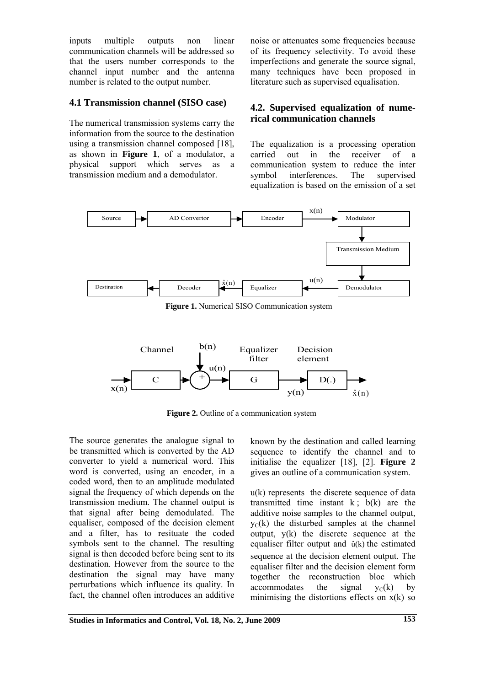inputs multiple outputs non linear communication channels will be addressed so that the users number corresponds to the channel input number and the antenna number is related to the output number.

## **4.1 Transmission channel (SISO case)**

The numerical transmission systems carry the information from the source to the destination using a transmission channel composed [18], as shown in **Figure 1**, of a modulator, a physical support which serves as a transmission medium and a demodulator.

noise or attenuates some frequencies because of its frequency selectivity. To avoid these imperfections and generate the source signal, many techniques have been proposed in literature such as supervised equalisation.

## **4.2. Supervised equalization of numerical communication channels**

The equalization is a processing operation carried out in the receiver of a communication system to reduce the inter symbol interferences. The supervised equalization is based on the emission of a set



**Figure 1.** Numerical SISO Communication system



**Figure 2.** Outline of a communication system

The source generates the analogue signal to be transmitted which is converted by the AD converter to yield a numerical word. This word is converted, using an encoder, in a coded word, then to an amplitude modulated signal the frequency of which depends on the transmission medium. The channel output is that signal after being demodulated. The equaliser, composed of the decision element and a filter, has to resituate the coded symbols sent to the channel. The resulting signal is then decoded before being sent to its destination. However from the source to the destination the signal may have many perturbations which influence its quality. In fact, the channel often introduces an additive

known by the destination and called learning sequence to identify the channel and to initialise the equalizer [18], [2]. **Figure 2** gives an outline of a communication system.

u(k) represents the discrete sequence of data transmitted time instant  $k$ ;  $b(k)$  are the additive noise samples to the channel output,  $y<sub>C</sub>(k)$  the disturbed samples at the channel output,  $y(k)$  the discrete sequence at the equaliser filter output and  $\hat{u}(k)$  the estimated sequence at the decision element output. The equaliser filter and the decision element form together the reconstruction bloc which accommodates the signal  $v_c(k)$  by minimising the distortions effects on  $x(k)$  so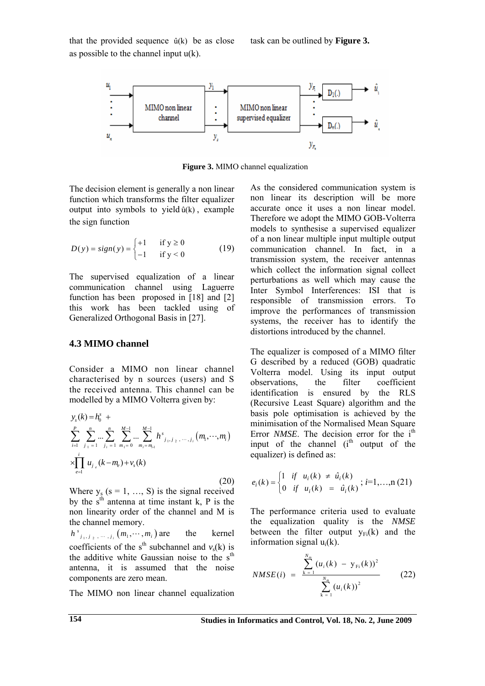that the provided sequence  $\hat{u}(k)$  be as close as possible to the channel input  $u(k)$ .



**Figure 3.** MIMO channel equalization

The decision element is generally a non linear function which transforms the filter equalizer output into symbols to yield  $\hat{u}(k)$ , example the sign function

$$
D(y) = sign(y) = \begin{cases} +1 & \text{if } y \ge 0 \\ -1 & \text{if } y < 0 \end{cases}
$$
 (19)

The supervised equalization of a linear communication channel using Laguerre function has been proposed in [18] and [2] this work has been tackled using of Generalized Orthogonal Basis in [27].

## **4.3 MIMO channel**

Consider a MIMO non linear channel characterised by n sources (users) and S the received antenna. This channel can be modelled by a MIMO Volterra given by:

$$
y_{s}(k) = h_{0}^{s} + \sum_{i=1}^{p} \sum_{j_{1}=1}^{n} \sum_{j_{i}=1}^{n} \sum_{m_{1}=0}^{M-1} \dots \sum_{m_{i}=m_{i}}^{M-1} h_{j_{1},j_{2},...,j_{i}}^{s}(m_{1},...,m_{i})
$$
  
\n
$$
\times \prod_{e=1}^{i} u_{j_{e}}(k-m_{e}) + v_{s}(k)
$$
\n(20)

Where  $y_s$  ( $s = 1, ..., S$ ) is the signal received by the  $s<sup>th</sup>$  antenna at time instant k, P is the non linearity order of the channel and M is the channel memory.

 $h^{s}$ <sub>*j*<sub>1</sub></sub>, *j*<sub>2</sub>, ..., *j*<sub>*i*</sub></sub>  $(m_1, \dots, m_i)$ the kernel coefficients of the s<sup>th</sup> subchannel and  $v_s(k)$  is the additive white Gaussian noise to the  $s<sup>th</sup>$ antenna, it is assumed that the noise components are zero mean.

The MIMO non linear channel equalization

As the considered communication system is non linear its description will be more accurate once it uses a non linear model. Therefore we adopt the MIMO GOB-Volterra models to synthesise a supervised equalizer of a non linear multiple input multiple output communication channel. In fact, in a transmission system, the receiver antennas which collect the information signal collect perturbations as well which may cause the Inter Symbol Interferences: ISI that is responsible of transmission errors. To improve the performances of transmission systems, the receiver has to identify the distortions introduced by the channel.

The equalizer is composed of a MIMO filter G described by a reduced (GOB) quadratic Volterra model. Using its input output observations, the filter coefficient identification is ensured by the RLS (Recursive Least Square) algorithm and the basis pole optimisation is achieved by the minimisation of the Normalised Mean Square Error *NMSE*. The decision error for the i<sup>th</sup> input of the channel  $(i<sup>th</sup>$  output of the equalizer) is defined as:

$$
e_i(k) = \begin{cases} 1 & \text{if } u_i(k) \neq \hat{u}_i(k) \\ 0 & \text{if } u_i(k) = \hat{u}_i(k) \end{cases}; i=1,...,n (21)
$$

The performance criteria used to evaluate the equalization quality is the *NMSE*  between the filter output  $v_{Fi}(k)$  and the information signal ui(k).

$$
NMSE(i) = \frac{\sum_{k=1}^{N_m} (u_i(k) - y_{Fi}(k))^2}{\sum_{k=1}^{N_m} (u_i(k))^2}
$$
(22)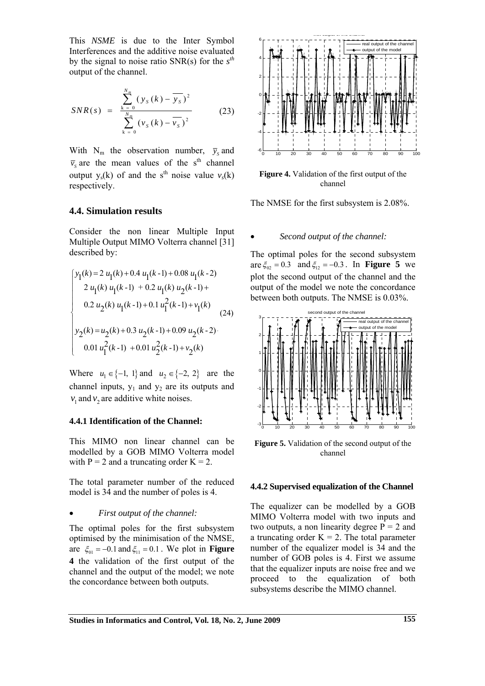This *NSME* is due to the Inter Symbol Interferences and the additive noise evaluated by the signal to noise ratio SNR(s) for the *s th* output of the channel.

$$
SNR(s) = \frac{\sum_{k=0}^{N_m} (y_s(k) - \overline{y_s})^2}{\sum_{k=0}^{N_m} (v_s(k) - \overline{v_s})^2}
$$
(23)

With  $N_m$  the observation number,  $\bar{y}_s$  and  $\overline{v}_s$  are the mean values of the s<sup>th</sup> channel output  $y_s(k)$  of and the s<sup>th</sup> noise value  $y_s(k)$ respectively.

## **4.4. Simulation results**

Consider the non linear Multiple Input Multiple Output MIMO Volterra channel [31] described by:

$$
\begin{cases}\ny_1(k) = 2 u_1(k) + 0.4 u_1(k-1) + 0.08 u_1(k-2) \\
2 u_1(k) u_1(k-1) + 0.2 u_1(k) u_2(k-1) + \\
0.2 u_2(k) u_1(k-1) + 0.1 u_1^2(k-1) + v_1(k) \\
y_2(k) = u_2(k) + 0.3 u_2(k-1) + 0.09 u_2(k-2) \\
0.01 u_1^2(k-1) + 0.01 u_2^2(k-1) + v_2(k)\n\end{cases}
$$
\n(24)

Where  $u_1 \in \{-1, 1\}$  and  $u_2 \in \{-2, 2\}$  are the channel inputs,  $y_1$  and  $y_2$  are its outputs and  $v_1$  and  $v_2$  are additive white noises.

#### **4.4.1 Identification of the Channel:**

This MIMO non linear channel can be modelled by a GOB MIMO Volterra model with  $P = 2$  and a truncating order  $K = 2$ .

The total parameter number of the reduced model is 34 and the number of poles is 4.

#### • *First output of the channel:*

The optimal poles for the first subsystem optimised by the minimisation of the NMSE, are  $\xi_{01} = -0.1$  and  $\xi_{11} = 0.1$ . We plot in **Figure 4** the validation of the first output of the channel and the output of the model; we note the concordance between both outputs.



**Figure 4.** Validation of the first output of the channel

The NMSE for the first subsystem is 2.08%.

#### • *Second output of the channel:*

The optimal poles for the second subsystem are  $\xi_{02} = 0.3$  and  $\xi_{12} = -0.3$ . In **Figure 5** we plot the second output of the channel and the output of the model we note the concordance between both outputs. The NMSE is 0.03%.



**Figure 5.** Validation of the second output of the channel

#### **4.4.2 Supervised equalization of the Channel**

The equalizer can be modelled by a GOB MIMO Volterra model with two inputs and two outputs, a non linearity degree  $P = 2$  and a truncating order  $K = 2$ . The total parameter number of the equalizer model is 34 and the number of GOB poles is 4. First we assume that the equalizer inputs are noise free and we proceed to the equalization of both subsystems describe the MIMO channel.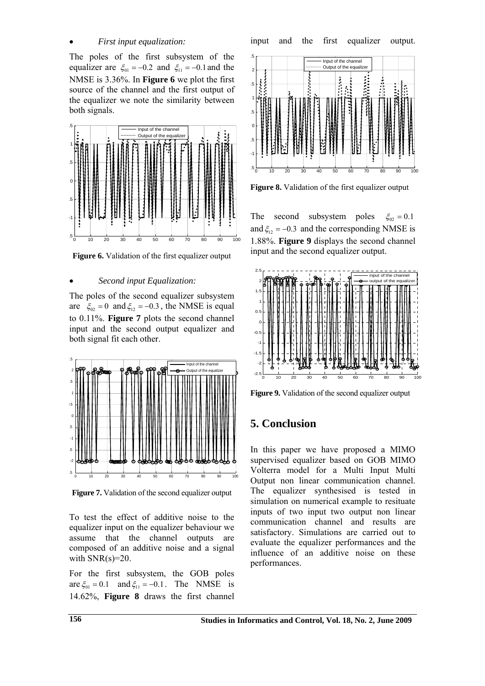### • *First input equalization:*

The poles of the first subsystem of the equalizer are  $\xi_{01} = -0.2$  and  $\xi_{11} = -0.1$  and the NMSE is 3.36%. In **Figure 6** we plot the first source of the channel and the first output of the equalizer we note the similarity between both signals.



**Figure 6.** Validation of the first equalizer output

#### • *Second input Equalization:*

The poles of the second equalizer subsystem are  $\xi_{02} = 0$  and  $\xi_{12} = -0.3$ , the NMSE is equal to 0.11%. **Figure 7** plots the second channel input and the second output equalizer and both signal fit each other.



**Figure 7.** Validation of the second equalizer output

To test the effect of additive noise to the equalizer input on the equalizer behaviour we assume that the channel outputs are composed of an additive noise and a signal with  $SNR(s)=20$ .

For the first subsystem, the GOB poles are  $\xi_{01} = 0.1$  and  $\xi_{11} = -0.1$ . The NMSE is 14.62%, **Figure 8** draws the first channel



**Figure 8.** Validation of the first equalizer output

The second subsystem poles  $\xi_{02} = 0.1$ and  $\xi_{12} = -0.3$  and the corresponding NMSE is 1.88%. **Figure 9** displays the second channel input and the second equalizer output.



**Figure 9.** Validation of the second equalizer output

# **5. Conclusion**

In this paper we have proposed a MIMO supervised equalizer based on GOB MIMO Volterra model for a Multi Input Multi Output non linear communication channel. The equalizer synthesised is tested in simulation on numerical example to resituate inputs of two input two output non linear communication channel and results are satisfactory. Simulations are carried out to evaluate the equalizer performances and the influence of an additive noise on these performances.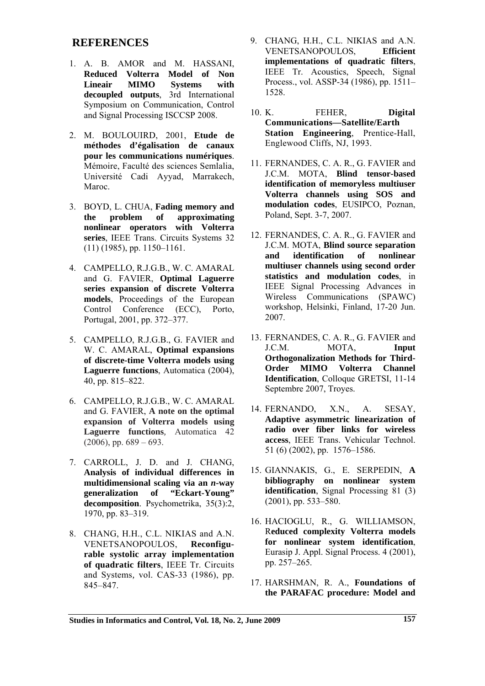## **REFERENCES**

- 1. A. B. AMOR and M. HASSANI, **Reduced Volterra Model of Non Lineair MIMO Systems with decoupled outputs**, 3rd International Symposium on Communication, Control and Signal Processing ISCCSP 2008.
- 2. M. BOULOUIRD, 2001, **Etude de méthodes d'égalisation de canaux pour les communications numériques**. Mémoire, Faculté des sciences Semlalia, Université Cadi Ayyad, Marrakech, Maroc.
- 3. BOYD, L. CHUA, **Fading memory and the problem of approximating nonlinear operators with Volterra series**, IEEE Trans. Circuits Systems 32 (11) (1985), pp. 1150–1161.
- 4. CAMPELLO, R.J.G.B., W. C. AMARAL and G. FAVIER, **Optimal Laguerre series expansion of discrete Volterra models**, Proceedings of the European Control Conference (ECC), Porto, Portugal, 2001, pp. 372–377.
- 5. CAMPELLO, R.J.G.B., G. FAVIER and W. C. AMARAL, **Optimal expansions of discrete-time Volterra models using Laguerre functions**, Automatica (2004), 40, pp. 815–822.
- 6. CAMPELLO, R.J.G.B., W. C. AMARAL and G. FAVIER, **A note on the optimal expansion of Volterra models using Laguerre functions***,* Automatica 42  $(2006)$ , pp.  $689 - 693$ .
- 7. CARROLL, J. D. and J. CHANG, **Analysis of individual differences in multidimensional scaling via an** *n***-way generalization of "Eckart-Young" decomposition**. Psychometrika, 35(3):2, 1970, pp. 83–319.
- 8. CHANG, H.H., C.L. NIKIAS and A.N. VENETSANOPOULOS, **Reconfigurable systolic array implementation of quadratic filters**, IEEE Tr. Circuits and Systems*,* vol. CAS-33 (1986), pp. 845–847.
- 9. CHANG, H.H., C.L. NIKIAS and A.N. VENETSANOPOULOS, **Efficient implementations of quadratic filters**, IEEE Tr. Acoustics, Speech, Signal Process., vol. ASSP-34 (1986), pp. 1511– 1528.
- 10. K. FEHER, **Digital Communications—Satellite/Earth Station Engineering**, Prentice-Hall, Englewood Cliffs, NJ, 1993.
- 11. FERNANDES, C. A. R., G. FAVIER and J.C.M. MOTA, **Blind tensor-based identification of memoryless multiuser Volterra channels using SOS and modulation codes**, EUSIPCO, Poznan, Poland, Sept. 3-7, 2007.
- 12. FERNANDES, C. A. R., G. FAVIER and J.C.M. MOTA, **Blind source separation and identification of nonlinear multiuser channels using second order statistics and modulation codes**, in IEEE Signal Processing Advances in Wireless Communications (SPAWC) workshop, Helsinki, Finland, 17-20 Jun. 2007.
- 13. FERNANDES, C. A. R., G. FAVIER and J.C.M. MOTA, **Input Orthogonalization Methods for Third-Order MIMO Volterra Channel Identification**, Colloque GRETSI, 11-14 Septembre 2007, Troyes.
- 14. FERNANDO, X.N., A. SESAY, **Adaptive asymmetric linearization of radio over fiber links for wireless access**, IEEE Trans. Vehicular Technol. 51 (6) (2002), pp. 1576–1586.
- 15. GIANNAKIS, G., E. SERPEDIN, **A bibliography on nonlinear system identification**, Signal Processing 81 (3) (2001), pp. 533–580.
- 16. HACIOGLU, R., G. WILLIAMSON, R**educed complexity Volterra models for nonlinear system identification**, Eurasip J. Appl. Signal Process. 4 (2001), pp. 257–265.
- 17. HARSHMAN, R. A., **Foundations of the PARAFAC procedure: Model and**